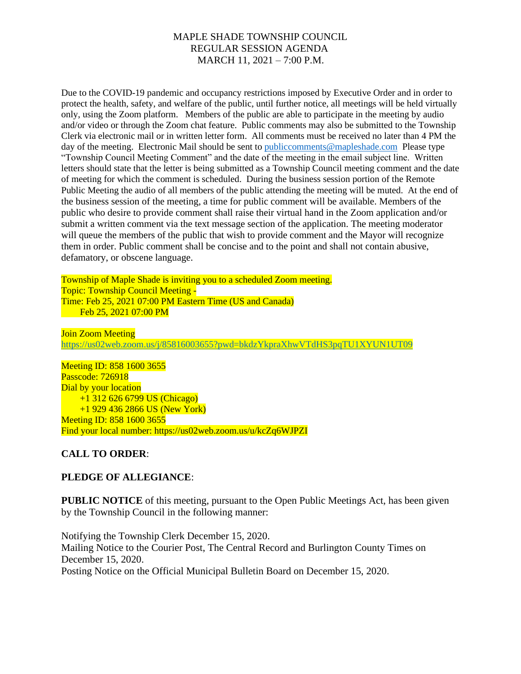# MAPLE SHADE TOWNSHIP COUNCIL REGULAR SESSION AGENDA MARCH 11, 2021 – 7:00 P.M.

Due to the COVID-19 pandemic and occupancy restrictions imposed by Executive Order and in order to protect the health, safety, and welfare of the public, until further notice, all meetings will be held virtually only, using the Zoom platform. Members of the public are able to participate in the meeting by audio and/or video or through the Zoom chat feature. Public comments may also be submitted to the Township Clerk via electronic mail or in written letter form. All comments must be received no later than 4 PM the day of the meeting. Electronic Mail should be sent to [publiccomments@mapleshade.com](mailto:publiccomments@mapleshade.com) Please type "Township Council Meeting Comment" and the date of the meeting in the email subject line. Written letters should state that the letter is being submitted as a Township Council meeting comment and the date of meeting for which the comment is scheduled. During the business session portion of the Remote Public Meeting the audio of all members of the public attending the meeting will be muted. At the end of the business session of the meeting, a time for public comment will be available. Members of the public who desire to provide comment shall raise their virtual hand in the Zoom application and/or submit a written comment via the text message section of the application. The meeting moderator will queue the members of the public that wish to provide comment and the Mayor will recognize them in order. Public comment shall be concise and to the point and shall not contain abusive, defamatory, or obscene language.

Township of Maple Shade is inviting you to a scheduled Zoom meeting. Topic: Township Council Meeting - Time: Feb 25, 2021 07:00 PM Eastern Time (US and Canada) Feb 25, 2021 07:00 PM

Join Zoom Meeting <https://us02web.zoom.us/j/85816003655?pwd=bkdzYkpraXhwVTdHS3pqTU1XYUN1UT09>

Meeting ID: 858 1600 3655 Passcode: 726918 Dial by your location +1 312 626 6799 US (Chicago) +1 929 436 2866 US (New York) Meeting ID: 858 1600 3655 Find your local number: https://us02web.zoom.us/u/kcZq6WJPZI

# **CALL TO ORDER**:

# **PLEDGE OF ALLEGIANCE**:

**PUBLIC NOTICE** of this meeting, pursuant to the Open Public Meetings Act, has been given by the Township Council in the following manner:

Notifying the Township Clerk December 15, 2020. Mailing Notice to the Courier Post, The Central Record and Burlington County Times on December 15, 2020. Posting Notice on the Official Municipal Bulletin Board on December 15, 2020.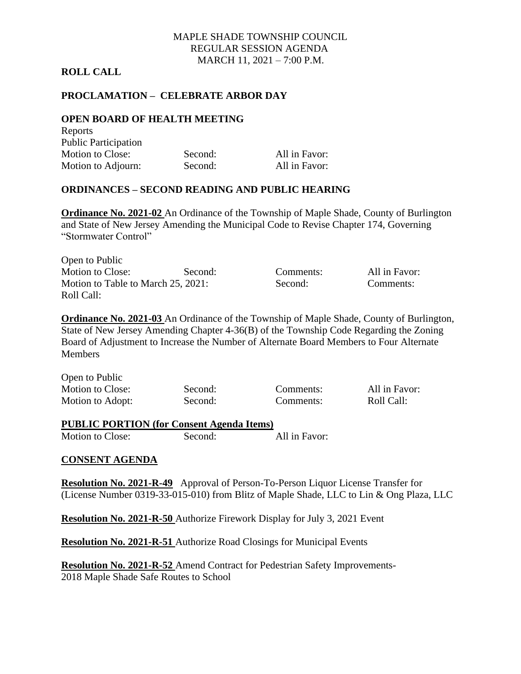# MAPLE SHADE TOWNSHIP COUNCIL REGULAR SESSION AGENDA MARCH 11, 2021 – 7:00 P.M.

### **ROLL CALL**

# **PROCLAMATION – CELEBRATE ARBOR DAY**

#### **OPEN BOARD OF HEALTH MEETING**  $D$ anouts

| <b>REPOLIS</b>              |         |               |
|-----------------------------|---------|---------------|
| <b>Public Participation</b> |         |               |
| Motion to Close:            | Second: | All in Favor: |
| Motion to Adjourn:          | Second: | All in Favor: |

### **ORDINANCES – SECOND READING AND PUBLIC HEARING**

**Ordinance No. 2021-02** An Ordinance of the Township of Maple Shade, County of Burlington and State of New Jersey Amending the Municipal Code to Revise Chapter 174, Governing "Stormwater Control"

| Open to Public                     |         |
|------------------------------------|---------|
| <b>Motion to Close:</b>            | Second: |
| Motion to Table to March 25, 2021: |         |
| Roll Call:                         |         |

Comments: All in Favor: Second: Comments:

**Ordinance No. 2021-03** An Ordinance of the Township of Maple Shade, County of Burlington, State of New Jersey Amending Chapter 4-36(B) of the Township Code Regarding the Zoning Board of Adjustment to Increase the Number of Alternate Board Members to Four Alternate **Members** 

| Open to Public   |  |
|------------------|--|
| Motion to Close: |  |
| Motion to Adopt: |  |

Second: Comments: Roll Call:

Second: Comments: All in Favor:

### **PUBLIC PORTION (for Consent Agenda Items)** Motion to Close: Second: All in Favor:

### **CONSENT AGENDA**

**Resolution No. 2021-R-49** Approval of Person-To-Person Liquor License Transfer for (License Number 0319-33-015-010) from Blitz of Maple Shade, LLC to Lin & Ong Plaza, LLC

**Resolution No. 2021-R-50** Authorize Firework Display for July 3, 2021 Event

**Resolution No. 2021-R-51** Authorize Road Closings for Municipal Events

**Resolution No. 2021-R-52** Amend Contract for Pedestrian Safety Improvements-2018 Maple Shade Safe Routes to School